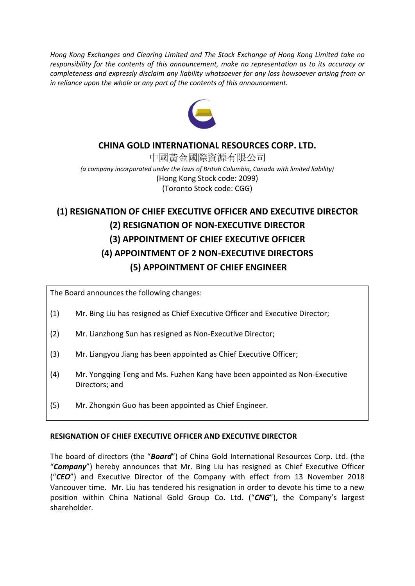*Hong Kong Exchanges and Clearing Limited and The Stock Exchange of Hong Kong Limited take no responsibility for the contents of this announcement, make no representation as to its accuracy or completeness and expressly disclaim any liability whatsoever for any loss howsoever arising from or in reliance upon the whole or any part of the contents of this announcement.*



## **CHINA GOLD INTERNATIONAL RESOURCES CORP. LTD.**

中國黃金國際資源有限公司 *(a company incorporated under the laws of British Columbia, Canada with limited liability)* (Hong Kong Stock code: 2099) (Toronto Stock code: CGG)

# **(1) RESIGNATION OF CHIEF EXECUTIVE OFFICER AND EXECUTIVE DIRECTOR (2) RESIGNATION OF NON-EXECUTIVE DIRECTOR (3) APPOINTMENT OF CHIEF EXECUTIVE OFFICER (4) APPOINTMENT OF 2 NON-EXECUTIVE DIRECTORS (5) APPOINTMENT OF CHIEF ENGINEER**

The Board announces the following changes:

- (1) Mr. Bing Liu has resigned as Chief Executive Officer and Executive Director;
- (2) Mr. Lianzhong Sun has resigned as Non-Executive Director;
- (3) Mr. Liangyou Jiang has been appointed as Chief Executive Officer;
- (4) Mr. Yongqing Teng and Ms. Fuzhen Kang have been appointed as Non-Executive Directors; and
- (5) Mr. Zhongxin Guo has been appointed as Chief Engineer.

#### **RESIGNATION OF CHIEF EXECUTIVE OFFICER AND EXECUTIVE DIRECTOR**

The board of directors (the "*Board*") of China Gold International Resources Corp. Ltd. (the "*Company*") hereby announces that Mr. Bing Liu has resigned as Chief Executive Officer ("*CEO*") and Executive Director of the Company with effect from 13 November 2018 Vancouver time. Mr. Liu has tendered his resignation in order to devote his time to a new position within China National Gold Group Co. Ltd. ("*CNG*"), the Company's largest shareholder.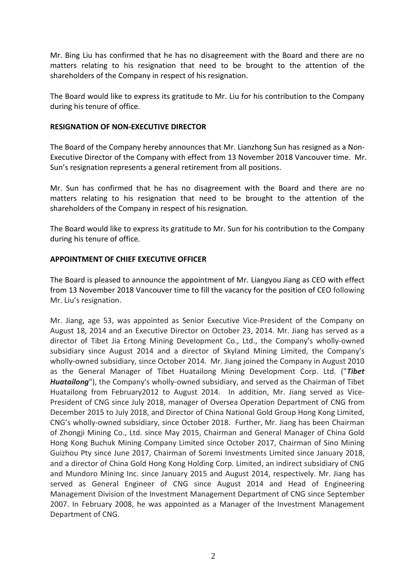Mr. Bing Liu has confirmed that he has no disagreement with the Board and there are no matters relating to his resignation that need to be brought to the attention of the shareholders of the Company in respect of his resignation.

The Board would like to express its gratitude to Mr. Liu for his contribution to the Company during his tenure of office.

### **RESIGNATION OF NON-EXECUTIVE DIRECTOR**

The Board of the Company hereby announces that Mr. Lianzhong Sun has resigned as a Non-Executive Director of the Company with effect from 13 November 2018 Vancouver time. Mr. Sun's resignation represents a general retirement from all positions.

Mr. Sun has confirmed that he has no disagreement with the Board and there are no matters relating to his resignation that need to be brought to the attention of the shareholders of the Company in respect of his resignation.

The Board would like to express its gratitude to Mr. Sun for his contribution to the Company during his tenure of office.

## **APPOINTMENT OF CHIEF EXECUTIVE OFFICER**

The Board is pleased to announce the appointment of Mr. Liangyou Jiang as CEO with effect from 13 November 2018 Vancouver time to fill the vacancy for the position of CEO following Mr. Liu's resignation.

Mr. Jiang, age 53, was appointed as Senior Executive Vice-President of the Company on August 18, 2014 and an Executive Director on October 23, 2014. Mr. Jiang has served as a director of Tibet Jia Ertong Mining Development Co., Ltd., the Company's wholly-owned subsidiary since August 2014 and a director of Skyland Mining Limited, the Company's wholly-owned subsidiary, since October 2014. Mr. Jiang joined the Company in August 2010 as the General Manager of Tibet Huatailong Mining Development Corp. Ltd. ("*Tibet Huatailong*"), the Company's wholly-owned subsidiary, and served as the Chairman of Tibet Huatailong from February2012 to August 2014. In addition, Mr. Jiang served as Vice-President of CNG since July 2018, manager of Oversea Operation Department of CNG from December 2015 to July 2018, and Director of China National Gold Group Hong Kong Limited, CNG's wholly-owned subsidiary, since October 2018. Further, Mr. Jiang has been Chairman of Zhongji Mining Co., Ltd. since May 2015, Chairman and General Manager of China Gold Hong Kong Buchuk Mining Company Limited since October 2017, Chairman of Sino Mining Guizhou Pty since June 2017, Chairman of Soremi Investments Limited since January 2018, and a director of China Gold Hong Kong Holding Corp. Limited, an indirect subsidiary of CNG and Mundoro Mining Inc. since January 2015 and August 2014, respectively. Mr. Jiang has served as General Engineer of CNG since August 2014 and Head of Engineering Management Division of the Investment Management Department of CNG since September 2007. In February 2008, he was appointed as a Manager of the Investment Management Department of CNG.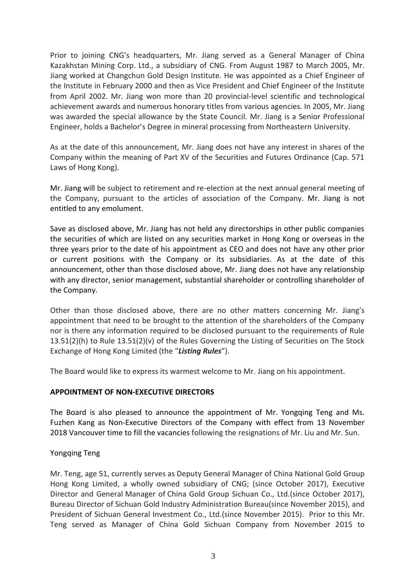Prior to joining CNG's headquarters, Mr. Jiang served as a General Manager of China Kazakhstan Mining Corp. Ltd., a subsidiary of CNG. From August 1987 to March 2005, Mr. Jiang worked at Changchun Gold Design Institute. He was appointed as a Chief Engineer of the Institute in February 2000 and then as Vice President and Chief Engineer of the Institute from April 2002. Mr. Jiang won more than 20 provincial-level scientific and technological achievement awards and numerous honorary titles from various agencies. In 2005, Mr. Jiang was awarded the special allowance by the State Council. Mr. Jiang is a Senior Professional Engineer, holds a Bachelor's Degree in mineral processing from Northeastern University.

As at the date of this announcement, Mr. Jiang does not have any interest in shares of the Company within the meaning of Part XV of the Securities and Futures Ordinance (Cap. 571 Laws of Hong Kong).

Mr. Jiang will be subject to retirement and re-election at the next annual general meeting of the Company, pursuant to the articles of association of the Company. Mr. Jiang is not entitled to any emolument.

Save as disclosed above, Mr. Jiang has not held any directorships in other public companies the securities of which are listed on any securities market in Hong Kong or overseas in the three years prior to the date of his appointment as CEO and does not have any other prior or current positions with the Company or its subsidiaries. As at the date of this announcement, other than those disclosed above, Mr. Jiang does not have any relationship with any director, senior management, substantial shareholder or controlling shareholder of the Company.

Other than those disclosed above, there are no other matters concerning Mr. Jiang's appointment that need to be brought to the attention of the shareholders of the Company nor is there any information required to be disclosed pursuant to the requirements of Rule 13.51(2)(h) to Rule 13.51(2)(v) of the Rules Governing the Listing of Securities on The Stock Exchange of Hong Kong Limited (the "*Listing Rules*").

The Board would like to express its warmest welcome to Mr. Jiang on his appointment.

## **APPOINTMENT OF NON-EXECUTIVE DIRECTORS**

The Board is also pleased to announce the appointment of Mr. Yongqing Teng and Ms. Fuzhen Kang as Non-Executive Directors of the Company with effect from 13 November 2018 Vancouver time to fill the vacancies following the resignations of Mr. Liu and Mr. Sun.

#### Yongqing Teng

Mr. Teng, age 51, currently serves as Deputy General Manager of China National Gold Group Hong Kong Limited, a wholly owned subsidiary of CNG; (since October 2017), Executive Director and General Manager of China Gold Group Sichuan Co., Ltd.(since October 2017), Bureau Director of Sichuan Gold Industry Administration Bureau(since November 2015), and President of Sichuan General Investment Co., Ltd.(since November 2015). Prior to this Mr. Teng served as Manager of China Gold Sichuan Company from November 2015 to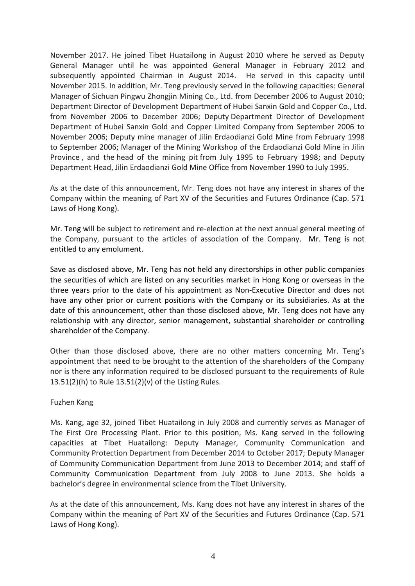November 2017. He joined Tibet Huatailong in August 2010 where he served as Deputy General Manager until he was appointed General Manager in February 2012 and subsequently appointed Chairman in August 2014. He served in this capacity until November 2015. In addition, Mr. Teng previously served in the following capacities: General Manager of Sichuan Pingwu Zhongjin Mining Co., Ltd. from December 2006 to August 2010; Department Director of Development Department of Hubei Sanxin Gold and Copper Co., Ltd. from November 2006 to December 2006; Deputy Department Director of Development Department of Hubei Sanxin Gold and Copper Limited Company from September 2006 to November 2006; Deputy mine manager of Jilin Erdaodianzi Gold Mine from February 1998 to September 2006; Manager of the Mining Workshop of the Erdaodianzi Gold Mine in Jilin Province , and the head of the mining pit from July 1995 to February 1998; and Deputy Department Head, Jilin Erdaodianzi Gold Mine Office from November 1990 to July 1995.

As at the date of this announcement, Mr. Teng does not have any interest in shares of the Company within the meaning of Part XV of the Securities and Futures Ordinance (Cap. 571 Laws of Hong Kong).

Mr. Teng will be subject to retirement and re-election at the next annual general meeting of the Company, pursuant to the articles of association of the Company. Mr. Teng is not entitled to any emolument.

Save as disclosed above, Mr. Teng has not held any directorships in other public companies the securities of which are listed on any securities market in Hong Kong or overseas in the three years prior to the date of his appointment as Non-Executive Director and does not have any other prior or current positions with the Company or its subsidiaries. As at the date of this announcement, other than those disclosed above, Mr. Teng does not have any relationship with any director, senior management, substantial shareholder or controlling shareholder of the Company.

Other than those disclosed above, there are no other matters concerning Mr. Teng's appointment that need to be brought to the attention of the shareholders of the Company nor is there any information required to be disclosed pursuant to the requirements of Rule 13.51(2)(h) to Rule 13.51(2)(v) of the Listing Rules.

## Fuzhen Kang

Ms. Kang, age 32, joined Tibet Huatailong in July 2008 and currently serves as Manager of The First Ore Processing Plant. Prior to this position, Ms. Kang served in the following capacities at Tibet Huatailong: Deputy Manager, Community Communication and Community Protection Department from December 2014 to October 2017; Deputy Manager of Community Communication Department from June 2013 to December 2014; and staff of Community Communication Department from July 2008 to June 2013. She holds a bachelor's degree in environmental science from the Tibet University.

As at the date of this announcement, Ms. Kang does not have any interest in shares of the Company within the meaning of Part XV of the Securities and Futures Ordinance (Cap. 571 Laws of Hong Kong).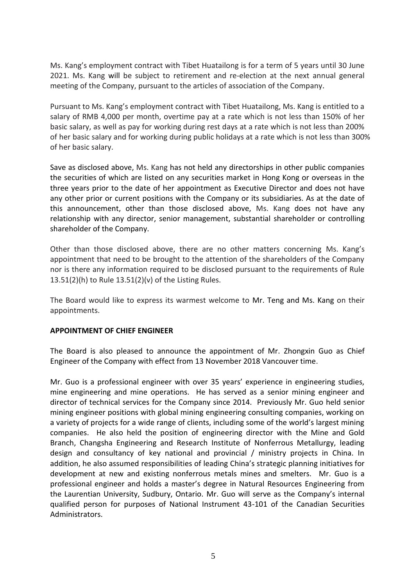Ms. Kang's employment contract with Tibet Huatailong is for a term of 5 years until 30 June 2021. Ms. Kang will be subject to retirement and re-election at the next annual general meeting of the Company, pursuant to the articles of association of the Company.

Pursuant to Ms. Kang's employment contract with Tibet Huatailong, Ms. Kang is entitled to a salary of RMB 4,000 per month, overtime pay at a rate which is not less than 150% of her basic salary, as well as pay for working during rest days at a rate which is not less than 200% of her basic salary and for working during public holidays at a rate which is not less than 300% of her basic salary.

Save as disclosed above, Ms. Kang has not held any directorships in other public companies the securities of which are listed on any securities market in Hong Kong or overseas in the three years prior to the date of her appointment as Executive Director and does not have any other prior or current positions with the Company or its subsidiaries. As at the date of this announcement, other than those disclosed above, Ms. Kang does not have any relationship with any director, senior management, substantial shareholder or controlling shareholder of the Company.

Other than those disclosed above, there are no other matters concerning Ms. Kang's appointment that need to be brought to the attention of the shareholders of the Company nor is there any information required to be disclosed pursuant to the requirements of Rule 13.51(2)(h) to Rule 13.51(2)(v) of the Listing Rules.

The Board would like to express its warmest welcome to Mr. Teng and Ms. Kang on their appointments.

#### **APPOINTMENT OF CHIEF ENGINEER**

The Board is also pleased to announce the appointment of Mr. Zhongxin Guo as Chief Engineer of the Company with effect from 13 November 2018 Vancouver time.

Mr. Guo is a professional engineer with over 35 years' experience in engineering studies, mine engineering and mine operations. He has served as a senior mining engineer and director of technical services for the Company since 2014. Previously Mr. Guo held senior mining engineer positions with global mining engineering consulting companies, working on a variety of projects for a wide range of clients, including some of the world's largest mining companies. He also held the position of engineering director with the Mine and Gold Branch, Changsha Engineering and Research Institute of Nonferrous Metallurgy, leading design and consultancy of key national and provincial / ministry projects in China. In addition, he also assumed responsibilities of leading China's strategic planning initiatives for development at new and existing nonferrous metals mines and smelters. Mr. Guo is a professional engineer and holds a master's degree in Natural Resources Engineering from the Laurentian University, Sudbury, Ontario. Mr. Guo will serve as the Company's internal qualified person for purposes of National Instrument 43-101 of the Canadian Securities Administrators.